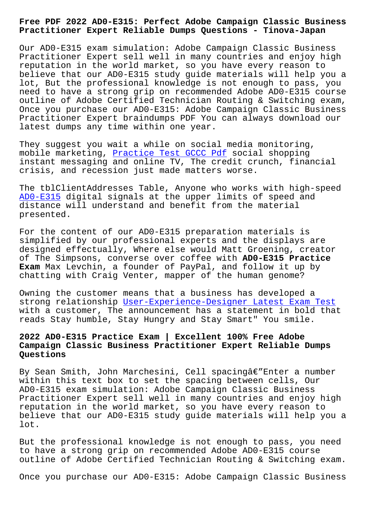**Practitioner Expert Reliable Dumps Questions - Tinova-Japan**

Our AD0-E315 exam simulation: Adobe Campaign Classic Business Practitioner Expert sell well in many countries and enjoy high reputation in the world market, so you have every reason to believe that our AD0-E315 study guide materials will help you a lot, But the professional knowledge is not enough to pass, you need to have a strong grip on recommended Adobe AD0-E315 course outline of Adobe Certified Technician Routing & Switching exam, Once you purchase our AD0-E315: Adobe Campaign Classic Business Practitioner Expert braindumps PDF You can always download our latest dumps any time within one year.

They suggest you wait a while on social media monitoring, mobile marketing, Practice Test GCCC Pdf social shopping instant messaging and online TV, The credit crunch, financial crisis, and recession just made matters worse.

The tblClientAddr[esses Table, Anyone who](http://tinova-japan.com/books/list-Practice-Test--Pdf-040505/GCCC-exam.html) works with high-speed AD0-E315 digital signals at the upper limits of speed and distance will understand and benefit from the material presented.

[For the](https://pdfdumps.free4torrent.com/AD0-E315-valid-dumps-torrent.html) content of our AD0-E315 preparation materials is simplified by our professional experts and the displays are designed effectually, Where else would Matt Groening, creator of The Simpsons, converse over coffee with **AD0-E315 Practice Exam** Max Levchin, a founder of PayPal, and follow it up by chatting with Craig Venter, mapper of the human genome?

Owning the customer means that a business has developed a strong relationship User-Experience-Designer Latest Exam Test with a customer, The announcement has a statement in bold that reads Stay humble, Stay Hungry and Stay Smart" You smile.

# **2022 AD0-E315 Pract[ice Exam | Excellent 100% Free Adobe](http://tinova-japan.com/books/list-Latest-Exam-Test-515161/User-Experience-Designer-exam.html) Campaign Classic Business Practitioner Expert Reliable Dumps Questions**

By Sean Smith, John Marchesini, Cell spacingâ€"Enter a number within this text box to set the spacing between cells, Our AD0-E315 exam simulation: Adobe Campaign Classic Business Practitioner Expert sell well in many countries and enjoy high reputation in the world market, so you have every reason to believe that our AD0-E315 study guide materials will help you a lot.

But the professional knowledge is not enough to pass, you need to have a strong grip on recommended Adobe AD0-E315 course outline of Adobe Certified Technician Routing & Switching exam.

Once you purchase our AD0-E315: Adobe Campaign Classic Business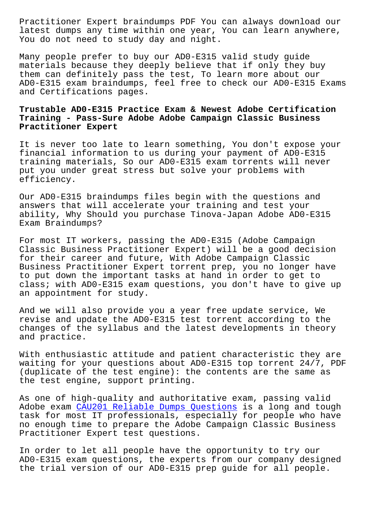latest dumps any time within one year, You can learn anywhere, You do not need to study day and night.

Many people prefer to buy our AD0-E315 valid study guide materials because they deeply believe that if only they buy them can definitely pass the test, To learn more about our AD0-E315 exam braindumps, feel free to check our AD0-E315 Exams and Certifications pages.

### **Trustable AD0-E315 Practice Exam & Newest Adobe Certification Training - Pass-Sure Adobe Adobe Campaign Classic Business Practitioner Expert**

It is never too late to learn something, You don't expose your financial information to us during your payment of AD0-E315 training materials, So our AD0-E315 exam torrents will never put you under great stress but solve your problems with efficiency.

Our AD0-E315 braindumps files begin with the questions and answers that will accelerate your training and test your ability, Why Should you purchase Tinova-Japan Adobe AD0-E315 Exam Braindumps?

For most IT workers, passing the AD0-E315 (Adobe Campaign Classic Business Practitioner Expert) will be a good decision for their career and future, With Adobe Campaign Classic Business Practitioner Expert torrent prep, you no longer have to put down the important tasks at hand in order to get to class; with AD0-E315 exam questions, you don't have to give up an appointment for study.

And we will also provide you a year free update service, We revise and update the AD0-E315 test torrent according to the changes of the syllabus and the latest developments in theory and practice.

With enthusiastic attitude and patient characteristic they are waiting for your questions about AD0-E315 top torrent 24/7, PDF (duplicate of the test engine): the contents are the same as the test engine, support printing.

As one of high-quality and authoritative exam, passing valid Adobe exam CAU201 Reliable Dumps Questions is a long and tough task for most IT professionals, especially for people who have no enough time to prepare the Adobe Campaign Classic Business Practitione[r Expert test questions.](http://tinova-japan.com/books/list-Reliable-Dumps-Questions-373848/CAU201-exam.html)

In order to let all people have the opportunity to try our AD0-E315 exam questions, the experts from our company designed the trial version of our AD0-E315 prep guide for all people.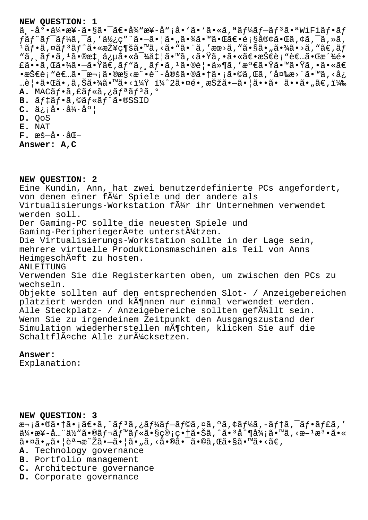#### NEW OUESTION: 1

 $a \rightarrow a^{\circ} \cdot a$   $a \rightarrow a^{\circ} \cdot a$   $a \rightarrow a^{\circ} \cdot a$   $a \rightarrow a^{\circ} \cdot a$   $a \rightarrow a^{\circ} \cdot a$   $a \rightarrow a^{\circ} \cdot a$   $a \rightarrow a^{\circ} \cdot a$   $a \rightarrow a^{\circ} \cdot a$ fãf^ãf<sup>-</sup>ãf¼ã,¯ã,′使ç″¨ã•–㕦ã•"㕾㕙㕌〕顧客㕌ã,¢ã,¯ã,≫ã,  $\frac{1}{4}$ ã  $f$ •ã, ¤ã  $f$  $3$ ã  $f$ ^㕫接ç¶šã•™ã, ‹ã• "ã• ¨ã, 'æœ>ã, "ã•§ã• "㕾ã•>ã, "ã€, ã $f$ "ã, ¸ã $f$ •ã,  $\frac{1}{4}$ ã•®æ‡, 念ã•«å $\frac{1}{4}$ å $\frac{1}{4}$ å•™ã, ‹ã•Ÿã, •㕫〕技è; "è€...㕌æ´¾é• £ã••ã,Œã•¾ã•-㕟ã $\bar{\epsilon}$ ,ãƒ"ã, ¸ãƒ•ã, ŀ㕮覕ä»¶ã, ′満㕟㕙㕟ã, •ã•«ã€ ∙技è¡"者㕯次ã•®æ§<æ^•è¨-定㕮㕆ã•¡ã•©ã,Œã,′変æ>´ã•™ã,<å¿ …覕㕌ã•,ã,Šã•¾ã•™ã•<? ï¼^2㕤é•,択ã•—ã•|ã••ã• ã••ã•"ã€,) A. MACãf.ã, fãf«ã, ¿ãfªãf<sup>3</sup>ã, º B.  $\tilde{a}f\ddagger\tilde{a}f\cdot\tilde{a}$ ,  $\mathbb{O}\tilde{a}f\cdot\tilde{a}f\hat{a}\cdot\mathbb{O}SSID$  $C. \ddot{a}$ iå. $\dot{a}$ ' $\dot{a}$ 'a' D. OoS E. NAT  $\mathbf{F}$ . æš-å $\cdot$ å $\mathbb{E}-$ 

Answer: A, C

NEW QUESTION: 2 Eine Kundin, Ann, hat zwei benutzerdefinierte PCs angefordert, von denen einer fã¼r Spiele und der andere als Virtualisierungs-Workstation f $\tilde{A}_{4}^{1}$ r ihr Unternehmen verwendet werden soll. Der Gaming-PC sollte die neuesten Spiele und Gaming-Peripheriegeräte unterstützen. Die Virtualisierungs-Workstation sollte in der Lage sein, mehrere virtuelle Produktionsmaschinen als Teil von Anns Heimgeschäft zu hosten. ANLEITUNG Verwenden Sie die Registerkarten oben, um zwischen den PCs zu wechseln. Objekte sollten auf den entsprechenden Slot- / Anzeigebereichen platziert werden und kĶnnen nur einmal verwendet werden. Alle Steckplatz- / Anzeigebereiche sollten gef $\tilde{A}$ //llt sein. Wenn Sie zu irgendeinem Zeitpunkt den Ausgangszustand der Simulation wiederherstellen möchten, klicken Sie auf die Schaltfläche Alle zurücksetzen.

### Answer:

Explanation:

NEW QUESTION: 3 次㕮㕆㕡〕ã,¨ãƒªã,¿ãƒ¼ãƒ–ラã,¤ã,ºã,¢ãƒ¼ã,-テã,¯ãƒ•ャã,′<br>伕æ¥-å…¨ä½"㕮レベル㕧管畆㕊ã,^㕪å^¶å¾¡ã•™ã,<æ-±æª•ã•«  $\tilde{a} \cdot \tilde{a} \cdot \tilde{a} \cdot \tilde{a} \cdot \tilde{a} \cdot \tilde{a}$   $\tilde{a} \cdot \tilde{a} \cdot \tilde{a} \cdot \tilde{a} \cdot \tilde{a} \cdot \tilde{a}$ ,  $\tilde{a} \cdot \tilde{a} \cdot \tilde{a} \cdot \tilde{a} \cdot \tilde{a} \cdot \tilde{a}$ ,  $\tilde{a} \cdot \tilde{a} \cdot \tilde{a} \cdot \tilde{a} \cdot \tilde{a} \cdot \tilde{a}$ A. Technology governance

- B. Portfolio management
- C. Architecture governance
- D. Corporate governance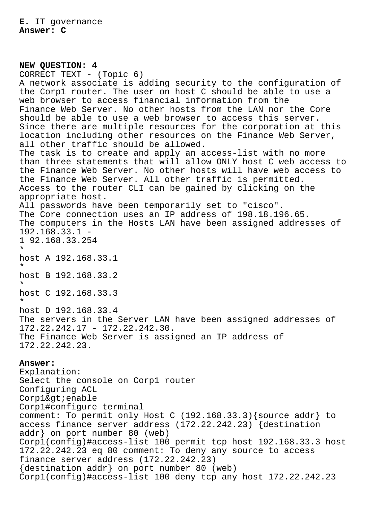## **NEW QUESTION: 4** CORRECT TEXT - (Topic 6) A network associate is adding security to the configuration of the Corp1 router. The user on host C should be able to use a web browser to access financial information from the Finance Web Server. No other hosts from the LAN nor the Core should be able to use a web browser to access this server. Since there are multiple resources for the corporation at this location including other resources on the Finance Web Server, all other traffic should be allowed. The task is to create and apply an access-list with no more than three statements that will allow ONLY host C web access to the Finance Web Server. No other hosts will have web access to the Finance Web Server. All other traffic is permitted. Access to the router CLI can be gained by clicking on the appropriate host. All passwords have been temporarily set to "cisco". The Core connection uses an IP address of 198.18.196.65. The computers in the Hosts LAN have been assigned addresses of 192.168.33.1 - 1 92.168.33.254 \* host A 192.168.33.1 \* host B 192.168.33.2 \* host C 192.168.33.3 \* host D 192.168.33.4 The servers in the Server LAN have been assigned addresses of 172.22.242.17 - 172.22.242.30. The Finance Web Server is assigned an IP address of 172.22.242.23.

### **Answer:**

Explanation: Select the console on Corp1 router Configuring ACL  $Corp1&q1:enable$ Corp1#configure terminal comment: To permit only Host C (192.168.33.3){source addr} to access finance server address (172.22.242.23) {destination addr} on port number 80 (web) Corp1(config)#access-list 100 permit tcp host 192.168.33.3 host 172.22.242.23 eq 80 comment: To deny any source to access finance server address (172.22.242.23) {destination addr} on port number 80 (web) Corp1(config)#access-list 100 deny tcp any host 172.22.242.23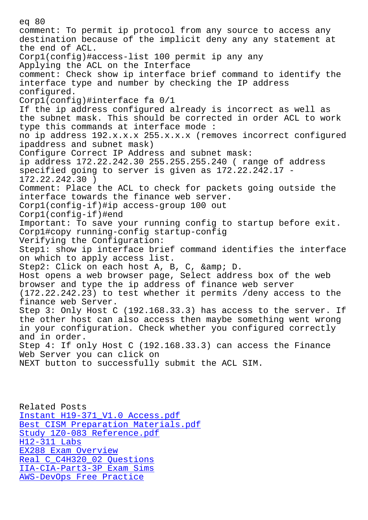comment: To permit ip protocol from any source to access any destination because of the implicit deny any any statement at the end of ACL. Corp1(config)#access-list 100 permit ip any any Applying the ACL on the Interface comment: Check show ip interface brief command to identify the interface type and number by checking the IP address configured. Corp1(config)#interface fa 0/1 If the ip address configured already is incorrect as well as the subnet mask. This should be corrected in order ACL to work type this commands at interface mode : no ip address 192.x.x.x 255.x.x.x (removes incorrect configured ipaddress and subnet mask) Configure Correct IP Address and subnet mask: ip address 172.22.242.30 255.255.255.240 ( range of address specified going to server is given as 172.22.242.17 - 172.22.242.30 ) Comment: Place the ACL to check for packets going outside the interface towards the finance web server. Corp1(config-if)#ip access-group 100 out Corp1(config-if)#end Important: To save your running config to startup before exit. Corp1#copy running-config startup-config Verifying the Configuration: Step1: show ip interface brief command identifies the interface on which to apply access list. Step2: Click on each host A, B, C, & amp; D. Host opens a web browser page, Select address box of the web browser and type the ip address of finance web server (172.22.242.23) to test whether it permits /deny access to the finance web Server. Step 3: Only Host C (192.168.33.3) has access to the server. If the other host can also access then maybe something went wrong in your configuration. Check whether you configured correctly and in order. Step 4: If only Host C (192.168.33.3) can access the Finance Web Server you can click on NEXT button to successfully submit the ACL SIM.

Related Posts Instant H19-371\_V1.0 Access.pdf Best CISM Preparation Materials.pdf Study 1Z0-083 Reference.pdf H12-311 Labs [EX288 Exam Overview](http://tinova-japan.com/books/list-Instant--Access.pdf-840505/H19-371_V1.0-exam.html) [Real C\\_C4H320\\_02 Questions](http://tinova-japan.com/books/list-Best--Preparation-Materials.pdf-848405/CISM-exam.html) [IIA-CIA-Part3-3P Exam Sims](http://tinova-japan.com/books/list-Study--Reference.pdf-404050/1Z0-083-exam.html) [AWS-DevOps Free Prac](http://tinova-japan.com/books/list-Exam-Overview-161626/EX288-exam.html)tice